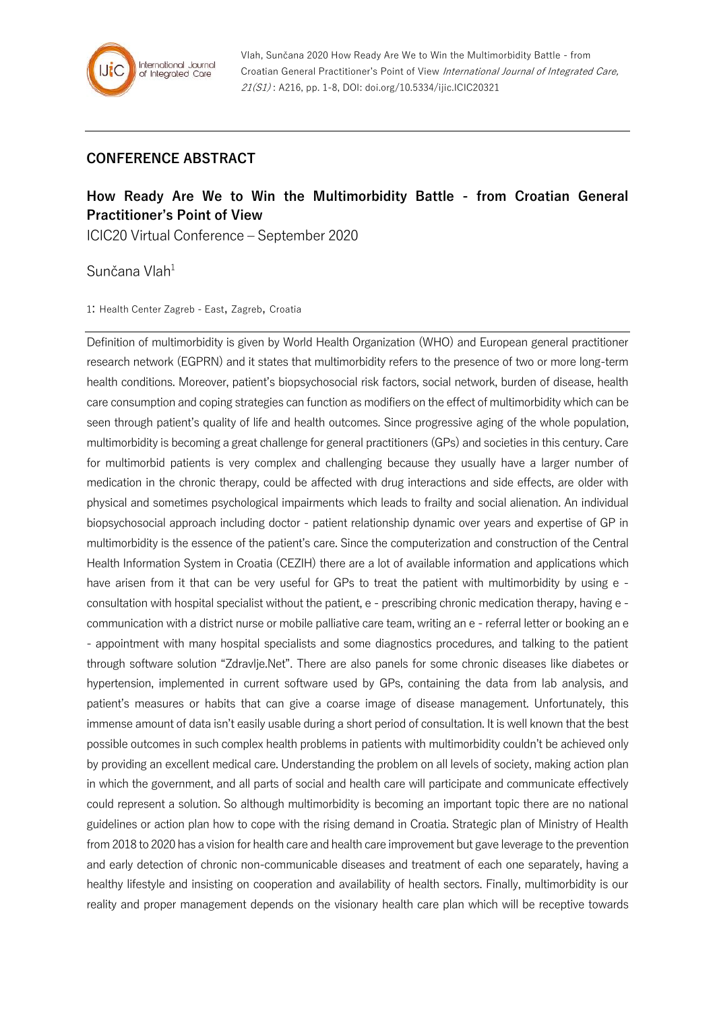## **CONFERENCE ABSTRACT**

## **How Ready Are We to Win the Multimorbidity Battle - from Croatian General Practitioner's Point of View**

ICIC20 Virtual Conference – September 2020

Sunčana Vlah<sup>1</sup>

1: Health Center Zagreb - East, Zagreb, Croatia

Definition of multimorbidity is given by World Health Organization (WHO) and European general practitioner research network (EGPRN) and it states that multimorbidity refers to the presence of two or more long-term health conditions. Moreover, patient's biopsychosocial risk factors, social network, burden of disease, health care consumption and coping strategies can function as modifiers on the effect of multimorbidity which can be seen through patient's quality of life and health outcomes. Since progressive aging of the whole population, multimorbidity is becoming a great challenge for general practitioners (GPs) and societies in this century. Care for multimorbid patients is very complex and challenging because they usually have a larger number of medication in the chronic therapy, could be affected with drug interactions and side effects, are older with physical and sometimes psychological impairments which leads to frailty and social alienation. An individual biopsychosocial approach including doctor - patient relationship dynamic over years and expertise of GP in multimorbidity is the essence of the patient's care. Since the computerization and construction of the Central Health Information System in Croatia (CEZIH) there are a lot of available information and applications which have arisen from it that can be very useful for GPs to treat the patient with multimorbidity by using e consultation with hospital specialist without the patient, e - prescribing chronic medication therapy, having e communication with a district nurse or mobile palliative care team, writing an e - referral letter or booking an e - appointment with many hospital specialists and some diagnostics procedures, and talking to the patient through software solution "Zdravlje.Net". There are also panels for some chronic diseases like diabetes or hypertension, implemented in current software used by GPs, containing the data from lab analysis, and patient's measures or habits that can give a coarse image of disease management. Unfortunately, this immense amount of data isn't easily usable during a short period of consultation. It is well known that the best possible outcomes in such complex health problems in patients with multimorbidity couldn't be achieved only by providing an excellent medical care. Understanding the problem on all levels of society, making action plan in which the government, and all parts of social and health care will participate and communicate effectively could represent a solution. So although multimorbidity is becoming an important topic there are no national guidelines or action plan how to cope with the rising demand in Croatia. Strategic plan of Ministry of Health from 2018 to 2020 has a vision for health care and health care improvement but gave leverage to the prevention and early detection of chronic non-communicable diseases and treatment of each one separately, having a healthy lifestyle and insisting on cooperation and availability of health sectors. Finally, multimorbidity is our reality and proper management depends on the visionary health care plan which will be receptive towards